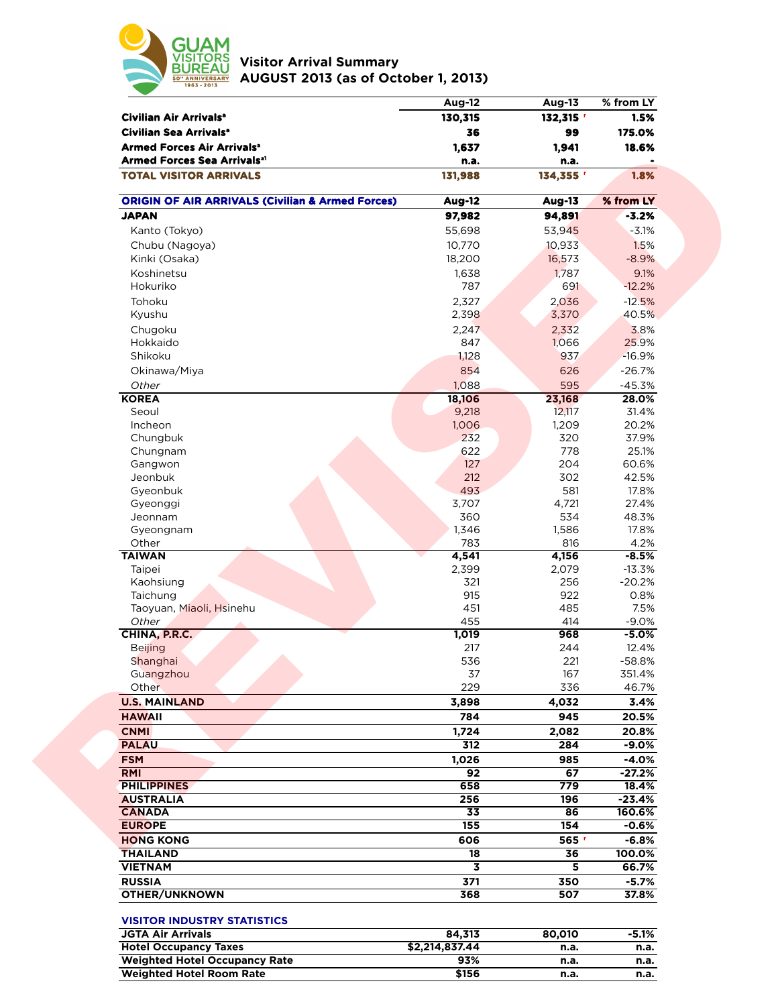

**Visitor Arrival Summary AUGUST 2013 (as of October 1, 2013)** 

|                                                                                         | <b>Aug-12</b>   | <b>Aug-13</b>        | % from LY         |
|-----------------------------------------------------------------------------------------|-----------------|----------------------|-------------------|
| Civilian Air Arrivals <sup>a</sup>                                                      | 130,315         | 132,315 <sup>r</sup> | 1.5%              |
| Civilian Sea Arrivals <sup>a</sup>                                                      | 36              | 99                   | 175.0%            |
| <b>Armed Forces Air Arrivals<sup>®</sup></b><br>Armed Forces Sea Arrivals <sup>al</sup> | 1,637<br>n.a.   | 1,941<br>n.a.        | 18.6%             |
| <b>TOTAL VISITOR ARRIVALS</b>                                                           | 131,988         | 134,355 '            | 1.8%              |
| <b>ORIGIN OF AIR ARRIVALS (Civilian &amp; Armed Forces)</b>                             | <b>Aug-12</b>   | <b>Aug-13</b>        | % from LY         |
| <b>JAPAN</b>                                                                            | 97,982          | 94,891               | $-3.2%$           |
| Kanto (Tokyo)                                                                           | 55,698          | 53,945               | $-3.1%$           |
| Chubu (Nagoya)                                                                          | 10,770          | 10,933               | 1.5%              |
| Kinki (Osaka)                                                                           | 18,200          | 16,573               | $-8.9%$           |
| Koshinetsu                                                                              | 1,638           | 1,787                | 9.1%              |
| Hokuriko                                                                                | 787             | 691                  | $-12.2%$          |
| Tohoku                                                                                  | 2,327           | 2,036                | $-12.5%$          |
| Kyushu                                                                                  | 2,398           | 3,370                | 40.5%             |
| Chugoku                                                                                 | 2,247           | 2,332                | 3.8%              |
| Hokkaido                                                                                | 847             | 1,066                | 25.9%             |
| Shikoku                                                                                 | 1,128           | 937                  | $-16.9%$          |
| Okinawa/Miya                                                                            | 854             | 626                  | $-26.7%$          |
| Other                                                                                   | 1,088           | 595                  | $-45.3%$          |
| <b>KOREA</b>                                                                            | 18,106          | 23,168               | 28.0%             |
| Seoul                                                                                   | 9,218           | 12,117               | 31.4%             |
| Incheon                                                                                 | 1,006           | 1,209                | 20.2%             |
| Chungbuk                                                                                | 232             | 320                  | 37.9%             |
| Chungnam                                                                                | 622             | 778                  | 25.1%             |
| Gangwon                                                                                 | 127             | 204                  | 60.6%             |
| Jeonbuk                                                                                 | 212             | 302                  | 42.5%             |
| Gyeonbuk<br>Gyeonggi                                                                    | 493<br>3,707    | 581<br>4,721         | 17.8%<br>27.4%    |
| Jeonnam                                                                                 | 360             | 534                  | 48.3%             |
| Gyeongnam                                                                               | 1,346           | 1,586                | 17.8%             |
| Other                                                                                   | 783             | 816                  | 4.2%              |
| <b>TAIWAN</b>                                                                           | 4,541           | 4,156                | $-8.5%$           |
| Taipei                                                                                  | 2,399           | 2,079                | $-13.3%$          |
| Kaohsiung                                                                               | 321             | 256                  | $-20.2%$          |
| Taichung                                                                                | 915             | 922                  | 0.8%              |
| Taoyuan, Miaoli, Hsinehu                                                                | 451             | 485                  | 7.5%              |
| Other                                                                                   | 455             | 414                  | $-9.0%$           |
| CHINA, P.R.C.                                                                           | 1,019           | 968                  | $-5.0%$           |
| <b>Beijing</b><br>Shanghai                                                              | 217<br>536      | 244<br>221           | 12.4%<br>$-58.8%$ |
| Guangzhou                                                                               | 37              | 167                  | 351.4%            |
| Other                                                                                   | 229             | 336                  | 46.7%             |
| <b>U.S. MAINLAND</b>                                                                    | 3,898           | 4,032                | 3.4%              |
| <b>HAWAII</b>                                                                           | 784             | 945                  | 20.5%             |
| <b>CNMI</b>                                                                             | 1,724           | 2,082                | 20.8%             |
| <b>PALAU</b>                                                                            | 312             | 284                  | $-9.0%$           |
| <b>FSM</b>                                                                              | 1,026           | 985                  | $-4.0%$           |
| <b>RMI</b>                                                                              | 92              | 67                   | $-27.2%$          |
| <b>PHILIPPINES</b>                                                                      | 658             | 779                  | 18.4%             |
| <b>AUSTRALIA</b>                                                                        | 256             | 196                  | $-23.4%$          |
| <b>CANADA</b>                                                                           | $\overline{33}$ | 86                   | 160.6%            |
| <b>EUROPE</b>                                                                           | 155             | 154                  | $-0.6%$           |
| <b>HONG KONG</b>                                                                        | 606             | 565 r                | $-6.8%$           |
| <b>THAILAND</b>                                                                         | 18              | 36                   | 100.0%            |
| <b>VIETNAM</b>                                                                          | 3               | 5                    | 66.7%             |
| <b>RUSSIA</b>                                                                           | 371             | 350                  | $-5.7%$           |
| <b>OTHER/UNKNOWN</b>                                                                    | 368             | 507                  | 37.8%             |
| <b>VISITOR INDUSTRY STATISTICS</b>                                                      |                 |                      |                   |
| <b>JGTA Air Arrivals</b>                                                                | 84,313          | 80,010               | $-5.1%$           |
| <b>Hotel Occupancy Taxes</b>                                                            | \$2,214,837.44  | n.a.                 | n.a.              |
| <b>Weighted Hotel Occupancy Rate</b>                                                    | 93%             | n.a.                 | n.a.              |
| <b>Weighted Hotel Room Rate</b>                                                         | \$156           | n.a.                 | n.a.              |